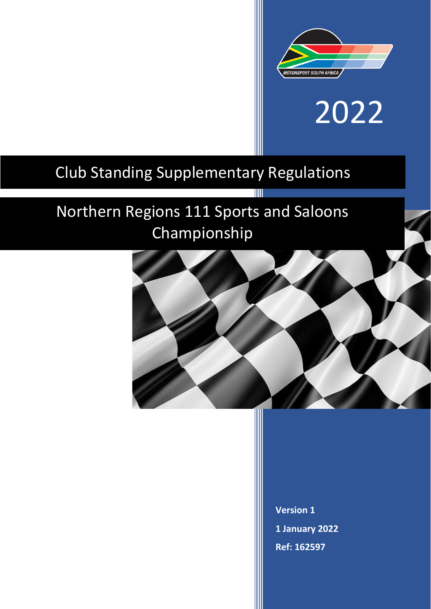

# 2022

# Club Standing Supplementary Regulations

# Northern Regions 111 Sports and Saloons Championship



T

**Version 1 1 January 2022 Ref: 162597**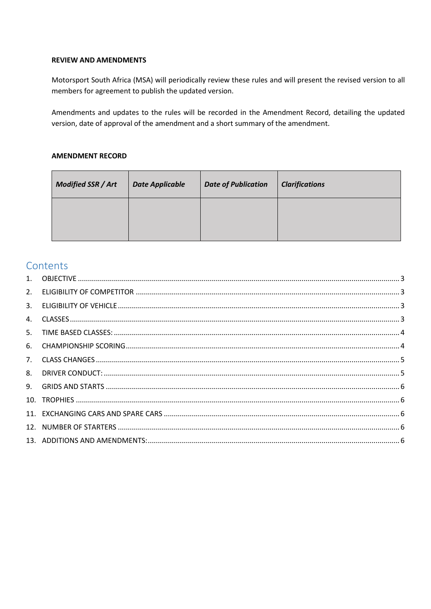# **REVIEW AND AMENDMENTS**

Motorsport South Africa (MSA) will periodically review these rules and will present the revised version to all members for agreement to publish the updated version.

Amendments and updates to the rules will be recorded in the Amendment Record, detailing the updated version, date of approval of the amendment and a short summary of the amendment.

#### **AMENDMENT RECORD**

| Modified SSR / Art | <b>Date Applicable</b> | <b>Date of Publication</b> | <b>Clarifications</b> |
|--------------------|------------------------|----------------------------|-----------------------|
|                    |                        |                            |                       |
|                    |                        |                            |                       |

# Contents

| 2. |  |
|----|--|
| 3. |  |
| 4. |  |
| 5. |  |
| 6. |  |
|    |  |
| 8. |  |
| 9. |  |
|    |  |
|    |  |
|    |  |
|    |  |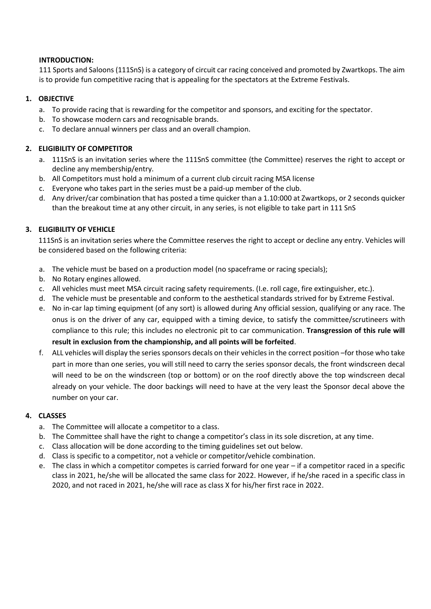#### **INTRODUCTION:**

111 Sports and Saloons (111SnS) is a category of circuit car racing conceived and promoted by Zwartkops. The aim is to provide fun competitive racing that is appealing for the spectators at the Extreme Festivals.

# <span id="page-2-0"></span>**1. OBJECTIVE**

- a. To provide racing that is rewarding for the competitor and sponsors, and exciting for the spectator.
- b. To showcase modern cars and recognisable brands.
- c. To declare annual winners per class and an overall champion.

#### <span id="page-2-1"></span>**2. ELIGIBILITY OF COMPETITOR**

- a. 111SnS is an invitation series where the 111SnS committee (the Committee) reserves the right to accept or decline any membership/entry.
- b. All Competitors must hold a minimum of a current club circuit racing MSA license
- c. Everyone who takes part in the series must be a paid-up member of the club.
- d. Any driver/car combination that has posted a time quicker than a 1.10:000 at Zwartkops, or 2 seconds quicker than the breakout time at any other circuit, in any series, is not eligible to take part in 111 SnS

# <span id="page-2-2"></span>**3. ELIGIBILITY OF VEHICLE**

111SnS is an invitation series where the Committee reserves the right to accept or decline any entry. Vehicles will be considered based on the following criteria:

- a. The vehicle must be based on a production model (no spaceframe or racing specials);
- b. No Rotary engines allowed.
- c. All vehicles must meet MSA circuit racing safety requirements. (I.e. roll cage, fire extinguisher, etc.).
- d. The vehicle must be presentable and conform to the aesthetical standards strived for by Extreme Festival.
- e. No in-car lap timing equipment (of any sort) is allowed during Any official session, qualifying or any race. The onus is on the driver of any car, equipped with a timing device, to satisfy the committee/scrutineers with compliance to this rule; this includes no electronic pit to car communication. **Transgression of this rule will result in exclusion from the championship, and all points will be forfeited**.
- f. ALL vehicles will display the series sponsors decals on their vehicles in the correct position –for those who take part in more than one series, you will still need to carry the series sponsor decals, the front windscreen decal will need to be on the windscreen (top or bottom) or on the roof directly above the top windscreen decal already on your vehicle. The door backings will need to have at the very least the Sponsor decal above the number on your car.

# <span id="page-2-3"></span>**4. CLASSES**

- a. The Committee will allocate a competitor to a class.
- b. The Committee shall have the right to change a competitor's class in its sole discretion, at any time.
- c. Class allocation will be done according to the timing guidelines set out below.
- d. Class is specific to a competitor, not a vehicle or competitor/vehicle combination.
- e. The class in which a competitor competes is carried forward for one year if a competitor raced in a specific class in 2021, he/she will be allocated the same class for 2022. However, if he/she raced in a specific class in 2020, and not raced in 2021, he/she will race as class X for his/her first race in 2022.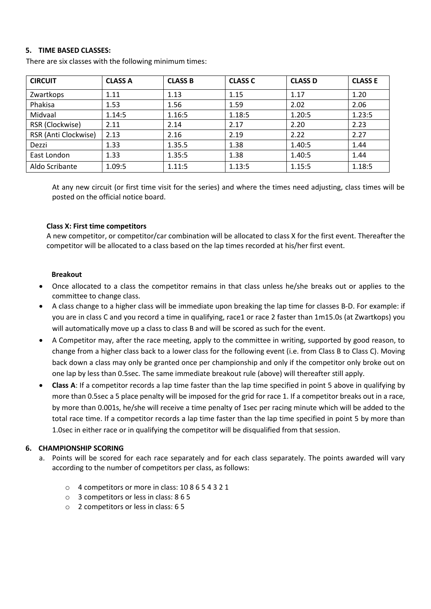#### <span id="page-3-0"></span>**5. TIME BASED CLASSES:**

| <b>CIRCUIT</b>       | <b>CLASS A</b> | <b>CLASS B</b> | <b>CLASS C</b> | <b>CLASS D</b> | <b>CLASS E</b> |
|----------------------|----------------|----------------|----------------|----------------|----------------|
| Zwartkops            | 1.11           | 1.13           | 1.15           | 1.17           | 1.20           |
| Phakisa              | 1.53           | 1.56           | 1.59           | 2.02           | 2.06           |
| Midvaal              | 1.14:5         | 1.16:5         | 1.18:5         | 1.20:5         | 1.23:5         |
| RSR (Clockwise)      | 2.11           | 2.14           | 2.17           | 2.20           | 2.23           |
| RSR (Anti Clockwise) | 2.13           | 2.16           | 2.19           | 2.22           | 2.27           |
| Dezzi                | 1.33           | 1.35.5         | 1.38           | 1.40:5         | 1.44           |
| East London          | 1.33           | 1.35:5         | 1.38           | 1.40:5         | 1.44           |
| Aldo Scribante       | 1.09:5         | 1.11:5         | 1.13:5         | 1.15:5         | 1.18:5         |

There are six classes with the following minimum times:

At any new circuit (or first time visit for the series) and where the times need adjusting, class times will be posted on the official notice board.

#### **Class X: First time competitors**

A new competitor, or competitor/car combination will be allocated to class X for the first event. Thereafter the competitor will be allocated to a class based on the lap times recorded at his/her first event.

#### **Breakout**

- Once allocated to a class the competitor remains in that class unless he/she breaks out or applies to the committee to change class.
- A class change to a higher class will be immediate upon breaking the lap time for classes B-D. For example: if you are in class C and you record a time in qualifying, race1 or race 2 faster than 1m15.0s (at Zwartkops) you will automatically move up a class to class B and will be scored as such for the event.
- A Competitor may, after the race meeting, apply to the committee in writing, supported by good reason, to change from a higher class back to a lower class for the following event (i.e. from Class B to Class C). Moving back down a class may only be granted once per championship and only if the competitor only broke out on one lap by less than 0.5sec. The same immediate breakout rule (above) will thereafter still apply.
- **Class A**: If a competitor records a lap time faster than the lap time specified in point 5 above in qualifying by more than 0.5sec a 5 place penalty will be imposed for the grid for race 1. If a competitor breaks out in a race, by more than 0.001s, he/she will receive a time penalty of 1sec per racing minute which will be added to the total race time. If a competitor records a lap time faster than the lap time specified in point 5 by more than 1.0sec in either race or in qualifying the competitor will be disqualified from that session.

# <span id="page-3-1"></span>**6. CHAMPIONSHIP SCORING**

- a. Points will be scored for each race separately and for each class separately. The points awarded will vary according to the number of competitors per class, as follows:
	- o 4 competitors or more in class: 10 8 6 5 4 3 2 1
	- o 3 competitors or less in class: 8 6 5
	- o 2 competitors or less in class: 6 5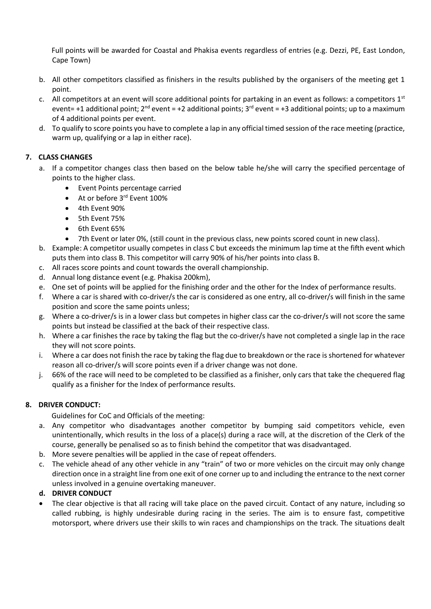Full points will be awarded for Coastal and Phakisa events regardless of entries (e.g. Dezzi, PE, East London, Cape Town)

- b. All other competitors classified as finishers in the results published by the organisers of the meeting get 1 point.
- c. All competitors at an event will score additional points for partaking in an event as follows: a competitors  $1<sup>st</sup>$ event= +1 additional point;  $2^{nd}$  event = +2 additional points;  $3^{rd}$  event = +3 additional points; up to a maximum of 4 additional points per event.
- d. To qualify to score points you have to complete a lap in any official timed session of the race meeting (practice, warm up, qualifying or a lap in either race).

# <span id="page-4-0"></span>**7. CLASS CHANGES**

- a. If a competitor changes class then based on the below table he/she will carry the specified percentage of points to the higher class.
	- Event Points percentage carried
	- At or before 3<sup>rd</sup> Event 100%
	- 4th Event 90%
	- 5th Event 75%
	- 6th Event 65%
	- 7th Event or later 0%, (still count in the previous class, new points scored count in new class).
- b. Example: A competitor usually competes in class C but exceeds the minimum lap time at the fifth event which puts them into class B. This competitor will carry 90% of his/her points into class B.
- c. All races score points and count towards the overall championship.
- d. Annual long distance event (e.g. Phakisa 200km),
- e. One set of points will be applied for the finishing order and the other for the Index of performance results.
- f. Where a car is shared with co-driver/s the car is considered as one entry, all co-driver/s will finish in the same position and score the same points unless;
- g. Where a co-driver/s is in a lower class but competes in higher class car the co-driver/s will not score the same points but instead be classified at the back of their respective class.
- h. Where a car finishes the race by taking the flag but the co-driver/s have not completed a single lap in the race they will not score points.
- i. Where a car does not finish the race by taking the flag due to breakdown or the race is shortened for whatever reason all co-driver/s will score points even if a driver change was not done.
- j. 66% of the race will need to be completed to be classified as a finisher, only cars that take the chequered flag qualify as a finisher for the Index of performance results.

# <span id="page-4-1"></span>**8. DRIVER CONDUCT:**

Guidelines for CoC and Officials of the meeting:

- a. Any competitor who disadvantages another competitor by bumping said competitors vehicle, even unintentionally, which results in the loss of a place(s) during a race will, at the discretion of the Clerk of the course, generally be penalised so as to finish behind the competitor that was disadvantaged.
- b. More severe penalties will be applied in the case of repeat offenders.
- c. The vehicle ahead of any other vehicle in any "train" of two or more vehicles on the circuit may only change direction once in a straight line from one exit of one corner up to and including the entrance to the next corner unless involved in a genuine overtaking maneuver.

# **d. DRIVER CONDUCT**

 The clear objective is that all racing will take place on the paved circuit. Contact of any nature, including so called rubbing, is highly undesirable during racing in the series. The aim is to ensure fast, competitive motorsport, where drivers use their skills to win races and championships on the track. The situations dealt